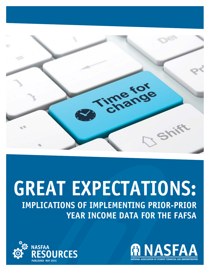

# **GREAT EXPECTATIONS: IMPLICATIONS OF IMPLEMENTING PRIOR-PRIOR YEAR INCOME DATA FOR THE FAFSA**



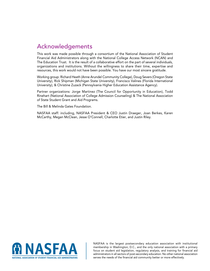## Acknowledgements

This work was made possible through a consortium of the National Association of Student Financial Aid Administrators along with the National College Access Network (NCAN) and The Education Trust. It is the result of a collaborative effort on the part of several individuals, organizations and institutions. Without the willingness to share their time, expertise and resources, this work would not have been possible. You have our most sincere gratitude.

Working group: Richard Heath (Anne Arundel Community College), Doug Severs (Oregon State University), Rick Shipman (Michigan State University), Francisco Valines (Florida International University), & Christine Zuzack (Pennsylvania Higher Education Assistance Agency).

Partner organizations: Jorge Martinez (The Council for Opportunity in Education), Todd Rinehart (National Association of College Admission Counseling) & The National Association of State Student Grant and Aid Programs.

The Bill & Melinda Gates Foundation.

NASFAA staff: including, NASFAA President & CEO Justin Draeger, Joan Berkes, Karen McCarthy, Megan McClean, Jesse O'Connell, Charlotte Etier, and Justin Riley.



NASFAA is the largest postsecondary education association with institutional membership in Washington, D.C., and the only national association with a primary focus on student aid legislation, regulatory analysis, and training for financial aid administrators in all sectors of post-secondary education. No other national association serves the needs of the financial aid community better or more effectively.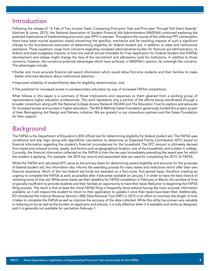### Introduction

Following the release of "A Tale of Two Income Years: Comparing Prior-prior Year and Prior-year Through Pell Grant Awards" (Kelchen & Jones, 2013), the National Association of Student Financial Aid Administrators (NASFAA) continued exploring the potential implications of implementing prior-prior year (PPY) in earnest. Throughout the course of the collective PPY conversation there have been myriad questions raised concerning the specifics, mechanics and far-reaching impacts of such a significant change to the foundational instrument of determining eligibility for federal student aid, in addition to state and institutional assistance. Those questions range from concerns regarding increased administrative burden for financial aid administrators, to federal and state budgetary impacts, to how the overall annual timetable for Free Application for Federal Student Aid (FAFSA) development and release might change the face of the recruitment and admissions cycle for institutions. In addition to those concerns, however, the numerous potential advantages which have surfaced, in NASFAA's opinion, far outweigh the concerns. The advantages include:

- Earlier and more accurate financial aid award information which would allow first-time students and their families to make better-informed decisions about institutional selection;
- Improved reliability of student/family data for eligibility determination; and
- The potential for increased access to postsecondary education by way of increased FAFSA completions.

What follows in this paper is a summary of those implications and responses to them gleaned from a working group of representative higher education professionals. This work represents only a portion of the efforts being coordinated through a broader consortium along with the National College Access Network (NCAN) and The Education Trust to explore and advocate for increased access and success in higher education. The Bill & Melinda Gates Foundation generously funded this project as part of their Reimagining Aid Design and Delivery initiative. We are grateful to our consortium partners and the Gates Foundation for their support.

### Background

The FAFSA is the Department of Education's (ED) official tool for determining eligibility for federal student aid. The FAFSA uses conditional and skip logic along with algorithmic calculations to determine an Expected Family Contribution (EFC) based on financial information regarding the student's financial circumstances for the household. The EFC amount is ultimately derived from taxed and untaxed income, assets, and factors such as geographical location, size of the household, and number in college. Currently, the financial information collected on the FAFSA is from the tax year immediately preceding the award year for which the student is applying. For example, the 2014 tax returns and associated data are used for completing the 2015-16 FAFSA.

While the FAFSA and calculated EFC serve as the primary basis for determining award eligibility and amounts for the purposes of federal student aid, this information also informs the awarding process for many states and institutions which offer their own financial assistance. Much of the non-federal aid funds are awarded on a first-come, first-served basis, therefore creating an urgency to complete the FAFSA as early as possible after it becomes available on January 1 in order to have the best chance of receiving some of that aid. While some states set their deadline for FAFSA completion in February or March, this window of time is typically insufficient to provide students and their families an opportunity to have their taxes filed prior to beginning the FAFSA filing process. The result is that at least the initial FAFSA filing is frequently done without having the most accurate information available, so it will require the student to return to their application to update it once their taxes have been filed. Additionally, ED introduced the Internal Revenue Service's (IRS) Data Retrieval Tool (DRT) in 2010 in an effort to minimize the length of time it takes to complete the FAFSA as well as improve the accuracy of the data collected. While this utility has proven very valuable in reducing errors as well as the burden on applicants and schools, it is only effective when it is available and works as designed, and it is generally not available for use before February 1.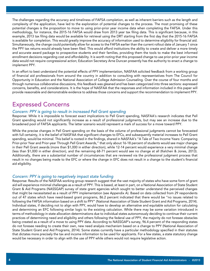The challenges regarding the accuracy and timeliness of FAFSA completion, as well as inherent barriers such as the length and complexity of the application, have led to the exploration of potential changes to the process. The most promising of these potential changes is the proposition to move to using prior-prior year income data when completing the FAFSA. Under this methodology, for instance, the 2015-16 FAFSA would draw from 2013 year tax filing data. This is significant because, in this example, 2013 tax filing data would be available for retrieval using the DRT starting from the first day that the 2015-16 FAFSA is available for completion. This would greatly improve the accuracy of information used to determine eligibility for financial aid. Simultaneously, the change could potentially allow for access to the FAFSA earlier than the current rollout date of January 1 since the PPY tax returns would already have been filed. This would afford institutions the ability to create and deliver a more timely and accurate award package to prospective students and their families, providing them the tools to make the best informed enrollment decisions regarding cost and affordability. It is worth noting that this proposed change to use prior-prior year income data would not require congressional action; Education Secretary Arne Duncan presently has the authority to enact a change to implement PPY.

In an effort to best understand the potential effects of PPY implementation, NASFAA solicited feedback from a working group of financial aid professionals from around the country in addition to consulting with representatives from The Council for Opportunity in Education and the National Association of College Admission Counseling. Over the course of four months and through numerous collaborative discussions, this feedback was gleaned and has been categorized into three sections: expressed concerns, benefits, and considerations. It is the hope of NASFAA that the responses and information included in this paper will provide reasonable and demonstrable evidence to address those concerns and support the recommendation to implement PPY.

### Expressed Concerns

### *Concern: PPY is going to result in increased Pell Grant spending*

Response: While it is impossible to forecast exact implications to Pell Grant spending, NASFAA's research indicates that Pell Grant spending would not significantly increase as a result of professional judgments, but may see an increase due to the broadened pool of FAFSA applicants. The latter scenario would represent a mark of success for a move toward PPY.

While the precise changes in Pell Grant spending on the basis of the volume of professional judgments cannot be forecasted with full certainty, it is the belief of NASFAA that significant changes to EFCs, and subsequently material increases to Pell Grant spending, would be minimal. This belief is rooted in the findings, shared in NASFAA's "A Tale of Two Income Years: Comparing Prior-prior Year and Prior-year Through Pell Grant Awards," that only about 16-18 percent of students would see major changes in their Pell Grant awards (more than \$1,000 in either direction), while 12-14 percent would experience a very minimal change (less than \$1,000 in either direction), and the remaining 68-71 percent would see no change at all (Kelchen & Jones, 2013). Additionally, there are a substantial number of circumstances that are reviewed via the professional judgment process that result in no changes being made to the EFC or where the change in EFC does not result in a change to the student's financial aid eligibility.

### *Concern: PPY is going to negatively impact state funding*

Response: Results of the NASFAA working group research suggest that the vast majority of states who have some form of grant aid will experience minimal challenges as a result of PPY. This is based, at least in part, on a National Association of State Student Grant & Aid Programs (NASSGAP) survey of state grant agencies which sought to better understand the perceived changes that might be necessitated as a result of PPY implementation (see Appendix A). Based on data collected from 29 respondents out of 47 states which have need-based grant programs, 86.2 percent indicated that there would be "no issues related to following the FAFSA information based on a shift to PPY" (National Association of State Student Grant and Aid Programs, 2014). Individual states, if deciding not to align with PPY, would have to develop an alternative and equitable solution for calculating and determining an EFC following similar logic to the existing calculation. While there may be some variation introduced in terms of methodology in state allocation determinations due to individual states autonomously deciding to continue their current practices of determining need and eligibility and others following the federal use of PPY, the majority do not foresee obstacles being created as a result of a move to using PPY data. According to NASSGAP's survey, 96.4 percent of the responding states do not foresee needing to create their own, new need analysis mechanism based on a change to PPY (National Association of State Student Grant and Aid Programs, 2014). Some states currently have a particular methodology specified in their statutes that dictates more precisely the tax and income information to be used for applicants. For a few states, a state statutory change would be necessary in order to align with the use of PPY while others would not require legislative action.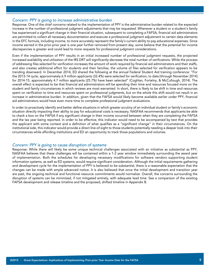#### *Concern: PPY is going to increase administrative burden*

Response: One of the chief concerns related to the implementation of PPY is the administrative burden related to the expected increase in the number of professional judgment adjustments that may be requested. Whenever a student or a student's family has experienced a significant change in their financial situation, subsequent to completing a FAFSA, financial aid administrators are permitted to collect all necessary documentation and execute a professional judgment adjustment to certain data elements in the EFC formula, including income, to more accurately represent the family's current ability to pay educational expenses. Since income earned in the prior-prior year is one year further removed from present day, some believe that the potential for income discrepancies is greater and could lead to more requests for professional judgment considerations.

Even if the implementation of PPY results in an initial increased number of professional judgment requests, the projected increased availability and utilization of the IRS DRT will significantly decrease the total number of verifications. While the process of addressing files selected for verification increases the amount of work required by financial aid administrators and their staffs, and also creates additional effort for students and their families, the volume of files selected for verification appears to be trending downward. In December 2014, ED shared the following at the annual Federal Student Aid training conference: "For the 2013-14 cycle, approximately 6.9 million applicants (32.4%) were selected for verification; to date [through November 2014] for 2014-15, approximately 4.7 million applicants (25.7%) have been selected" (Coghlan, Fortelny, & McCullough, 2014). The overall effect is expected to be that financial aid administrators will be spending their time and resources focused more on the student and family circumstances in which reviews are most warranted. In short, there is likely to be shift in time and resources spent on verification to time and resources spent on professional judgments, but on the whole this shift would not result in an increase in administrative burden. In addition, given that the FAFSA would likely become available earlier under PPY, financial aid administrators would have even more time to complete professional judgment evaluations.

In order to proactively identify and better define situations in which greater scrutiny of an individual student or family's economic situation directly impacting their ability to pay for educational costs is necessary, NASFAA recommends that applicants be able to check a box on the FAFSA if any significant change in their income occurred between when they are completing the FAFSA and the tax year being reported. In order to be effective, this indicator would need to be accompanied by text that provides the applicant with some context and a definition of what qualifies as a "significant change" in their circumstances. On the institutional side, this indicator would provide a direct line-of-sight to those students potentially needing a deeper look into their circumstances while affording institutions and ED an opportunity to track those populations and volumes.

#### *Concern: PPY is going to cause disruption of systems*

Response: While there will likely be some unique technical challenges associated with an initiative as substantial as PPY, NASFAA believes that these challenges will be contained within a 1-2 year window immediately surrounding the award year of implementation. Both the schedules for developing necessary modifications for software vendors supporting student information systems, as well as ED systems, would require significant consideration. Although the initial requirements gathering and development cycle for the implementation of PPY is believed to be substantial, there is a reasonable expectation that the changes can be made with ample advanced notice. It is also believed that once the initial development and transition year are past, the ongoing technical and functional resource commitments would normalize. Overall, the concerns surrounding the disruption of systems can be minimized, if not mitigated entirely, with adequate lead time. See a comparison of the existing FAFSA development and release timeline and the proposed, shifted timeline in Appendix B.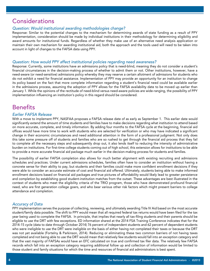# **Considerations**

### *Question: Would institutional awarding methodologies change?*

Response: Similar to the potential changes to the mechanism for determining awards of state funding as a result of PPY implementation, consideration should be made by individual institutions in their methodology for determining eligibility and award amounts for institutional funds. Regardless of whether they make use of an alternative need analysis application or maintain their own mechanism for awarding institutional aid, both the approach and the tools used will need to be taken into account in light of changes to the FAFSA data using PPY.

#### *Question: How would PPY affect institutional policies regarding need awareness?*

Response: Currently, some institutions have an admissions policy that is need-blind, meaning they do not consider a student's financial circumstances in the decision-making process of whether to admit them or not. Other institutions, however, have a need-aware (or need-sensitive) admissions policy whereby they may reserve a certain allotment of admissions for students who do not exhibit a need for financial assistance. Implementation of PPY may provide an opportunity for an institution to change its policy based on the fact that more complete information regarding a student's financial need could be available earlier in the admissions process, assuming the adoption of PPY allows for the FAFSA availability date to be moved up earlier than January 1. While the opinions of the rectitude of need-blind versus need-aware policies are wide-ranging, the possibility of PPY implementation influencing an institution's policy in this regard should be considered.

### **Benefits**

#### *Earlier FAFSA Release*

With a move to implement PPY, NASFAA proposes a FAFSA release date of as early as September 1. This earlier date would significantly extend the amount of time students and families have to make decisions regarding what institution to attend based on more accurate, complete, and timely information. By adding four months to the FAFSA cycle at the beginning, financial aid offices would have more time to work with students who are selected for verification or who may have indicated a significant change in their economic circumstances and need additional attention in the form of a professional judgment. Not only does this take some pressure off of students and families who are so rushed to get through the financial aid process that they fail to complete all the necessary steps and subsequently drop out, it also lends itself to reducing the intensity of administrative burden on institutions. For first-time college students coming out of high school, this extension allows for institutions to be able to provide a more accurate financial aid package much earlier in the decision-making process for students and families.

The possibility of earlier FAFSA completion also allows for much better alignment with existing recruiting and admissions schedules and practices. Under current admissions schedules, families often have to consider an institution without having a concrete sense for their ability to pay, but students and their families could make more confident enrollment decisions if they were able to consider an accurate estimate of cost and financial aid offered. Ultimately, students being able to make informed enrollment decisions based on financial aid packages and true pictures of affordability would likely lead to greater persistence and completion by establishing good student-institution matches from the outset. These advantages are best illustrated in the context of students who meet the eligibility criteria of the TRIO program, those who have demonstrated profound financial need, who are first generation college goers, and who bear various other risk factors which might present barriers to college attendance and completion.

### *Accuracy of Data*

PPY implementation serves the purpose of collecting, reviewing, and ultimately awarding Title IV Aid based on the most accurate student/family data possible. The shift to PPY would mean that all required federal tax returns would have been filed for the tax year being used to complete the FAFSA. In principle, that implies that nearly all tax-filing students and their parents should be eligible to use the DRT with few exceptions. ED information shared at the 2014 FSA Training Conference indicates that for the 2014-15 cycle (data to date through October 2014) 76 percent of independent students and 62 percent of dependent students who were ineligible to use the DRT were ineligible on the basis of either having not completed their taxes or because the DRT was not yet available (Fortelny & Parkinson, 2014). Reducing or eliminating these two common barriers of not having taxes completed and not being able to use the DRT would mean that relatively few students would fall into an exception category and that the vast majority of FAFSAs would have an EFC calculated on true and confirmed tax filer data. The relatively few FAFSA records which fall into an exception category requiring additional follow up and collection of information would be limited to those student and family situations for which the time and resources of financial aid administrators is best spent.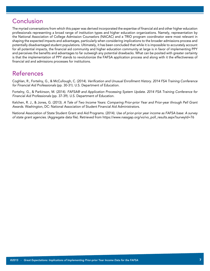# **Conclusion**

The myriad conversations from which this paper was derived incorporated the expertise of financial aid and other higher education professionals representing a broad range of institution types and higher education organizations. Namely, representation by the National Association of College Admission Counselors (NACAC) and a TRIO program coordinator were most relevant in shaping the expected impacts and advantages, particularly when considering implications to the broader admissions process and potentially disadvantaged student populations. Ultimately, it has been concluded that while it is impossible to accurately account for all potential impacts, the financial aid community and higher education community at large is in favor of implementing PPY and perceives the benefits and advantages to far outweigh any potential drawbacks. What can be posited with greater certainty is that the implementation of PPY stands to revolutionize the FAFSA application process and along with it the effectiveness of financial aid and admissions processes for institutions.

# References

Coghlan, R., Fortelny, G., & McCullough, C. (2014). *Verification and Unusual Enrollment History. 2014 FSA Training Conference for Financial Aid Professionals* (pp. 30-31). U.S. Department of Education.

Fortelny, G., & Parkinson, M. (2014). *FAFSA® and Application Processing System Update. 2014 FSA Training Conference for Financial Aid Professionals* (pp. 37-39). U.S. Department of Education.

Kelchen, R. J., & Jones, G. (2013). *A Tale of Two Income Years: Comparing Prior-prior Year and Prior-year through Pell Grant Awards.* Washington, DC: National Association of Student Financial Aid Administrators.

National Association of State Student Grant and Aid Programs. (2014). *Use of prior-prior year income as FAFSA base: A survey of state grant agencies.* (Aggregate data file). Retrieved from https://www.nassgap.org/vo/vo\_poll\_results.aspx?surveyId=76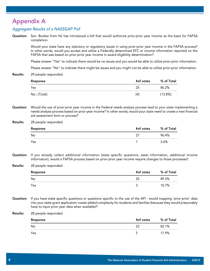### Appendix A

### *Aggregate Results of a NASSGAP Poll*

Question: Sen. Booker from NJ has introduced a bill that would authorize prior-prior year income as the basis for FAFSA completion.

> Would your state have any statutory or regulatory issues in using prior-prior year income in the FAFSA process? In other words, would you accept and utilize a Federally determined EFC or income information reported on the FAFSA that was based on prior-prior year income in award eligibility determination?

> Please answer "Yes" to indicate there would be no issues and you would be able to utilize prior-prior information.

Please answer "No" to indicate there might be issues and you might not be able to utilize prior-prior information.

Results: 29 people responded.

| Response     | #of votes | % of Total |
|--------------|-----------|------------|
| Yes          | 25        | 86.2%      |
| No.: [Total] | [4]       | [13.8%]    |

Question: Would the use of prior-prior year income in the Federal needs analysis process lead to your state implementing a needs analysis process based on prior-year income? In other words, would your state need to create a new financial aid assessment form or process?

#### Results: 28 people responded.

| Response | #of votes | % of Total |
|----------|-----------|------------|
| No       | -27       | 96.4%      |
| Yes      |           | 3.6%       |

- Question: If you already collect additional information (state specific questions, asset information, additional income information), would a FAFSA process based on prior-prior year income require changes to those processes?
- Results: 28 people responded.

| Response | #of votes | % of Total |
|----------|-----------|------------|
| No       | 25        | 89.3%      |
| Yes      | ັ         | 10.7%      |

Question: If you have state specific questions or questions specific to the use of the API - would mapping 'prior-prior' data into your state grant application create added complexity for students and families (because they would presumably have to input prior-year data when available)?

#### Results: 28 people responded.

| Response | #of votes | % of Total |
|----------|-----------|------------|
| No       | 23        | 82.1%      |
| Yes      | u         | 17.9%      |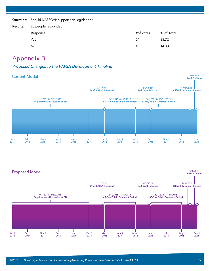Question: Should NASSGAP support this legislation?

| <b>Results:</b> | 28 people responded. |           |            |  |
|-----------------|----------------------|-----------|------------|--|
|                 | Response             | #of votes | % of Total |  |
|                 | Yes                  | 24        | 85.7%      |  |
|                 | No.                  | 4         | 14.3%      |  |

### Appendix B

*Proposed Changes to the FAFSA Development Timeline*